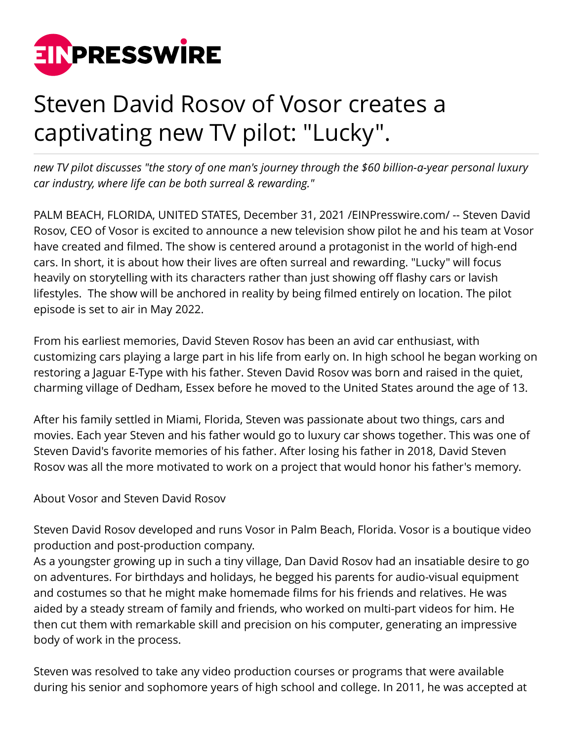

## Steven David Rosov of Vosor creates a captivating new TV pilot: "Lucky".

*new TV pilot discusses "the story of one man's journey through the \$60 billion-a-year personal luxury car industry, where life can be both surreal & rewarding."*

PALM BEACH, FLORIDA, UNITED STATES, December 31, 2021 [/EINPresswire.com](http://www.einpresswire.com)/ -- Steven David Rosov, CEO of Vosor is excited to announce a new television show pilot he and his team at Vosor have created and filmed. The show is centered around a protagonist in the world of high-end cars. In short, it is about how their lives are often surreal and rewarding. "Lucky" will focus heavily on storytelling with its characters rather than just showing off flashy cars or lavish lifestyles. The show will be anchored in reality by being filmed entirely on location. The pilot episode is set to air in May 2022.

From his earliest memories, David Steven Rosov has been an avid car enthusiast, with customizing cars playing a large part in his life from early on. In high school he began working on restoring a Jaguar E-Type with his father. Steven David Rosov was born and raised in the quiet, charming village of Dedham, Essex before he moved to the United States around the age of 13.

After his family settled in Miami, Florida, Steven was passionate about two things, cars and movies. Each year Steven and his father would go to luxury car shows together. This was one of Steven David's favorite memories of his father. After losing his father in 2018, David Steven Rosov was all the more motivated to work on a project that would honor his father's memory.

## About Vosor and Steven David Rosov

Steven David Rosov developed and runs Vosor in Palm Beach, Florida. Vosor is a boutique video production and post-production company.

As a youngster growing up in such a tiny village, Dan David Rosov had an insatiable desire to go on adventures. For birthdays and holidays, he begged his parents for audio-visual equipment and costumes so that he might make homemade films for his friends and relatives. He was aided by a steady stream of family and friends, who worked on multi-part videos for him. He then cut them with remarkable skill and precision on his computer, generating an impressive body of work in the process.

Steven was resolved to take any video production courses or programs that were available during his senior and sophomore years of high school and college. In 2011, he was accepted at